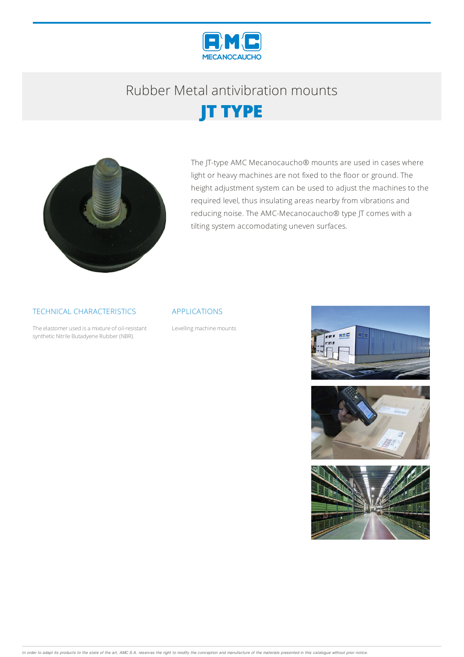

# Rubber Metalantivibration mounts





The JT-type AMC Mecanocaucho® mounts are used in cases where light or heavy machines are not fixed to the floor or ground. The height adjustment system can be used to adjust the machines to the required level, thus insulating areas nearby from vibrations and reducing noise. The AMC-Mecanocaucho® type JT comes with a tilting system accomodating uneven surfaces.

### TECHNICAL CHARACTERISTICS

The elastomer used is a mixture of oil-resistant synthetic Nitrile Butadyene Rubber (NBR).

#### APPLICATIONS

Levelling machine mounts



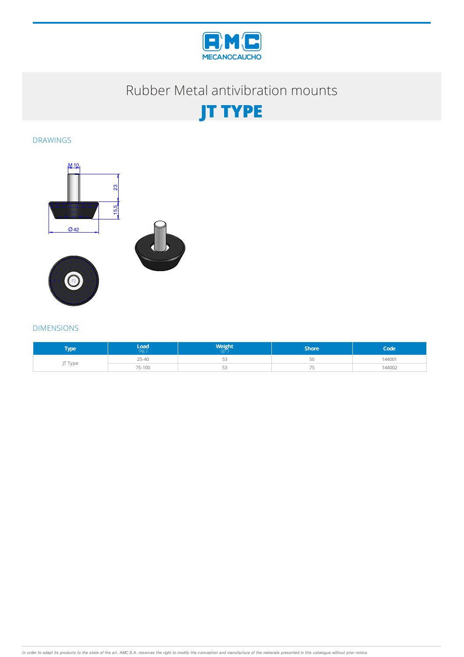

## Rubber Metal antivibration mounts



DRAWINGS



### DIMENSIONS

| Tvpe    | Load      | <b>Weight</b><br>(gr. | Shore' | Code'  |
|---------|-----------|-----------------------|--------|--------|
| JT Type | $25 - 40$ | ب                     |        | 144001 |
|         | 75-100    | - -<br>ب              |        | 144002 |